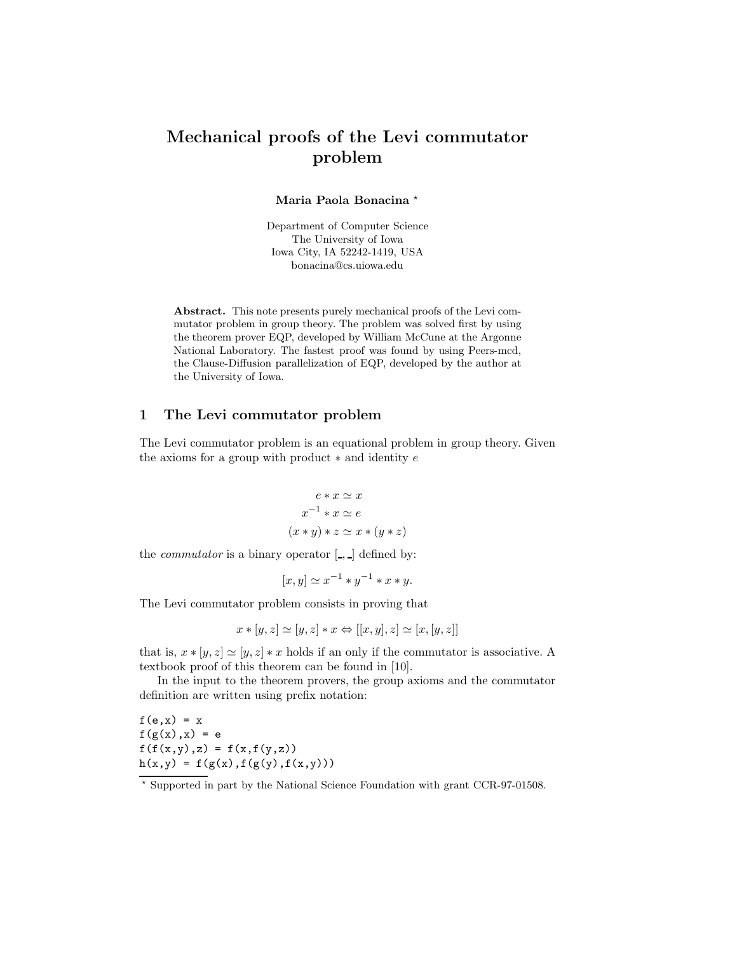# Mechanical proofs of the Levi commutator problem

Maria Paola Bonacina \*

Department of Computer Science The University of Iowa Iowa City, IA 52242-1419, USA bonacina@cs.uiowa.edu

Abstract. This note presents purely mechanical proofs of the Levi commutator problem in group theory. The problem was solved first by using the theorem prover EQP, developed by William McCune at the Argonne National Laboratory. The fastest proof was found by using Peers-mcd, the Clause-Diffusion parallelization of EQP, developed by the author at the University of Iowa.

## 1 The Levi commutator problem

The Levi commutator problem is an equational problem in group theory. Given the axioms for a group with product  $*$  and identity  $e$ 

$$
e * x \simeq x
$$
  

$$
x^{-1} * x \simeq e
$$
  

$$
(x * y) * z \simeq x * (y * z)
$$

the *commutator* is a binary operator  $\left[ \cdot, \cdot \right]$  defined by:

$$
[x,y] \simeq x^{-1} \ast y^{-1} \ast x \ast y.
$$

The Levi commutator problem consists in proving that

$$
x * [y, z] \simeq [y, z] * x \Leftrightarrow [[x, y], z] \simeq [x, [y, z]]
$$

that is,  $x * [y, z] \approx [y, z] * x$  holds if an only if the commutator is associative. A textbook proof of this theorem can be found in [10].

In the input to the theorem provers, the group axioms and the commutator definition are written using prefix notation:

 $f(e, x) = x$  $f(g(x),x) = e$  $f(f(x,y),z) = f(x,f(y,z))$  $\mathtt{h}(\mathtt{x},\mathtt{y}) \ = \ \mathtt{f}\left(\mathtt{g}(\mathtt{x})\,,\mathtt{f}\left(\mathtt{g}(\mathtt{y})\,,\mathtt{f}(\mathtt{x},\mathtt{y})\right)\right)$ 

<sup>⋆</sup> Supported in part by the National Science Foundation with grant CCR-97-01508.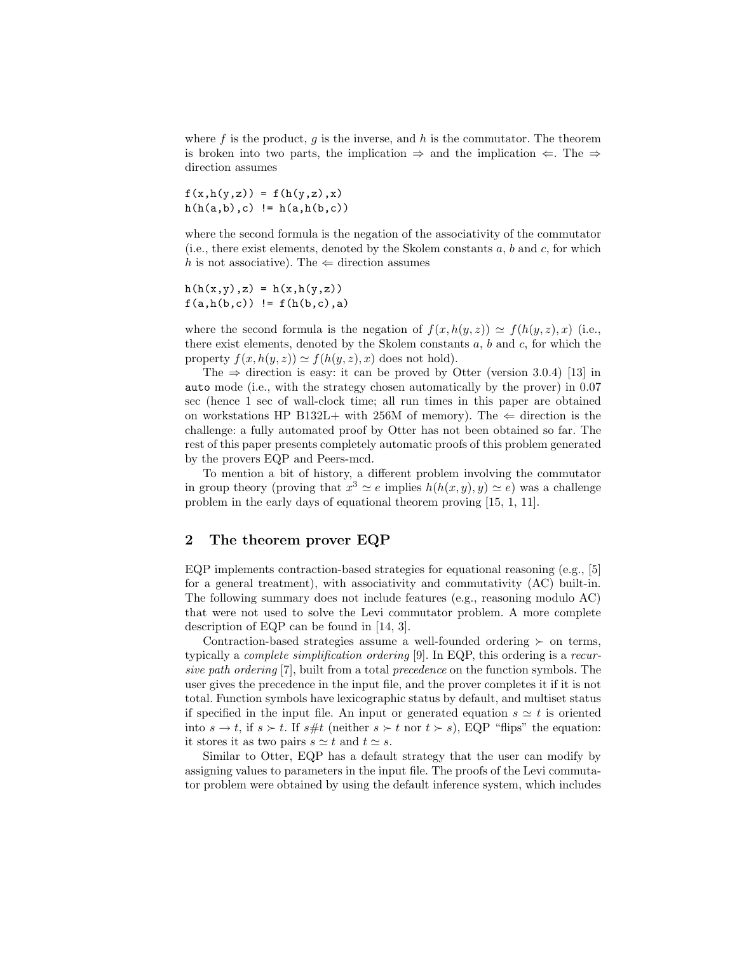where  $f$  is the product,  $g$  is the inverse, and  $h$  is the commutator. The theorem is broken into two parts, the implication  $\Rightarrow$  and the implication  $\Leftarrow$ . The  $\Rightarrow$ direction assumes

 $f(x,h(y,z)) = f(h(y,z),x)$  $h(h(a,b),c)$  !=  $h(a,h(b,c))$ 

where the second formula is the negation of the associativity of the commutator (i.e., there exist elements, denoted by the Skolem constants  $a, b$  and  $c$ , for which h is not associative). The  $\Leftarrow$  direction assumes

 $h(h(x,y),z) = h(x,h(y,z))$  $f(a,h(b,c))$  !=  $f(h(b,c),a)$ 

where the second formula is the negation of  $f(x, h(y, z)) \simeq f(h(y, z), x)$  (i.e., there exist elements, denoted by the Skolem constants  $a, b$  and  $c$ , for which the property  $f(x, h(y, z)) \simeq f(h(y, z), x)$  does not hold).

The  $\Rightarrow$  direction is easy: it can be proved by Otter (version 3.0.4) [13] in auto mode (i.e., with the strategy chosen automatically by the prover) in 0.07 sec (hence 1 sec of wall-clock time; all run times in this paper are obtained on workstations HP B132L+ with 256M of memory). The  $\Leftarrow$  direction is the challenge: a fully automated proof by Otter has not been obtained so far. The rest of this paper presents completely automatic proofs of this problem generated by the provers EQP and Peers-mcd.

To mention a bit of history, a different problem involving the commutator in group theory (proving that  $x^3 \simeq e$  implies  $h(h(x, y), y) \simeq e$ ) was a challenge problem in the early days of equational theorem proving [15, 1, 11].

# 2 The theorem prover EQP

EQP implements contraction-based strategies for equational reasoning (e.g., [5] for a general treatment), with associativity and commutativity (AC) built-in. The following summary does not include features (e.g., reasoning modulo AC) that were not used to solve the Levi commutator problem. A more complete description of EQP can be found in [14, 3].

Contraction-based strategies assume a well-founded ordering  $\succ$  on terms, typically a complete simplification ordering [9]. In EQP, this ordering is a recursive path ordering [7], built from a total precedence on the function symbols. The user gives the precedence in the input file, and the prover completes it if it is not total. Function symbols have lexicographic status by default, and multiset status if specified in the input file. An input or generated equation  $s \simeq t$  is oriented into  $s \to t$ , if  $s \succ t$ . If  $s \# t$  (neither  $s \succ t$  nor  $t \succ s$ ), EQP "flips" the equation: it stores it as two pairs  $s \simeq t$  and  $t \simeq s$ .

Similar to Otter, EQP has a default strategy that the user can modify by assigning values to parameters in the input file. The proofs of the Levi commutator problem were obtained by using the default inference system, which includes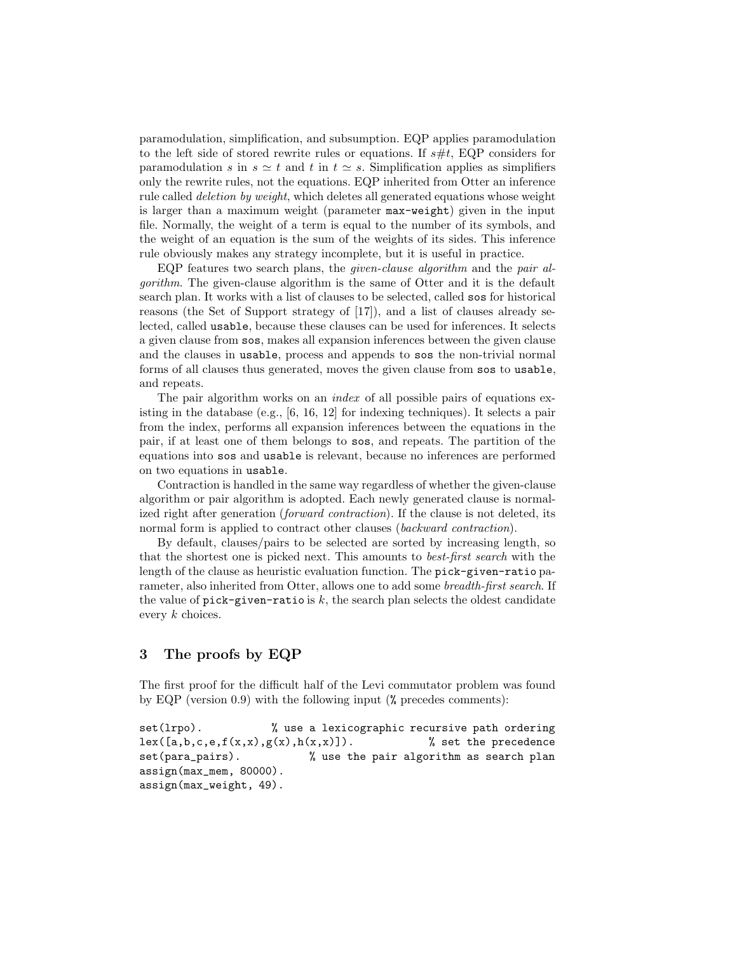paramodulation, simplification, and subsumption. EQP applies paramodulation to the left side of stored rewrite rules or equations. If  $s\#t$ , EQP considers for paramodulation s in  $s \simeq t$  and t in  $t \simeq s$ . Simplification applies as simplifiers only the rewrite rules, not the equations. EQP inherited from Otter an inference rule called deletion by weight, which deletes all generated equations whose weight is larger than a maximum weight (parameter max-weight) given in the input file. Normally, the weight of a term is equal to the number of its symbols, and the weight of an equation is the sum of the weights of its sides. This inference rule obviously makes any strategy incomplete, but it is useful in practice.

EQP features two search plans, the *given-clause algorithm* and the *pair al*gorithm. The given-clause algorithm is the same of Otter and it is the default search plan. It works with a list of clauses to be selected, called sos for historical reasons (the Set of Support strategy of [17]), and a list of clauses already selected, called usable, because these clauses can be used for inferences. It selects a given clause from sos, makes all expansion inferences between the given clause and the clauses in usable, process and appends to sos the non-trivial normal forms of all clauses thus generated, moves the given clause from sos to usable, and repeats.

The pair algorithm works on an *index* of all possible pairs of equations existing in the database (e.g., [6, 16, 12] for indexing techniques). It selects a pair from the index, performs all expansion inferences between the equations in the pair, if at least one of them belongs to sos, and repeats. The partition of the equations into sos and usable is relevant, because no inferences are performed on two equations in usable.

Contraction is handled in the same way regardless of whether the given-clause algorithm or pair algorithm is adopted. Each newly generated clause is normalized right after generation *(forward contraction)*. If the clause is not deleted, its normal form is applied to contract other clauses (backward contraction).

By default, clauses/pairs to be selected are sorted by increasing length, so that the shortest one is picked next. This amounts to best-first search with the length of the clause as heuristic evaluation function. The pick-given-ratio parameter, also inherited from Otter, allows one to add some breadth-first search. If the value of  $\text{pick-given-ratio}$  is k, the search plan selects the oldest candidate every k choices.

# 3 The proofs by EQP

The first proof for the difficult half of the Levi commutator problem was found by EQP (version 0.9) with the following input (% precedes comments):

```
set(lrpo). \frac{1}{2} wse a lexicographic recursive path ordering
lex([a,b,c,e,f(x,x),g(x),h(x,x)]). % set the precedence
set(para_pairs). % use the pair algorithm as search plan
assign(max_mem, 80000).
assign(max_weight, 49).
```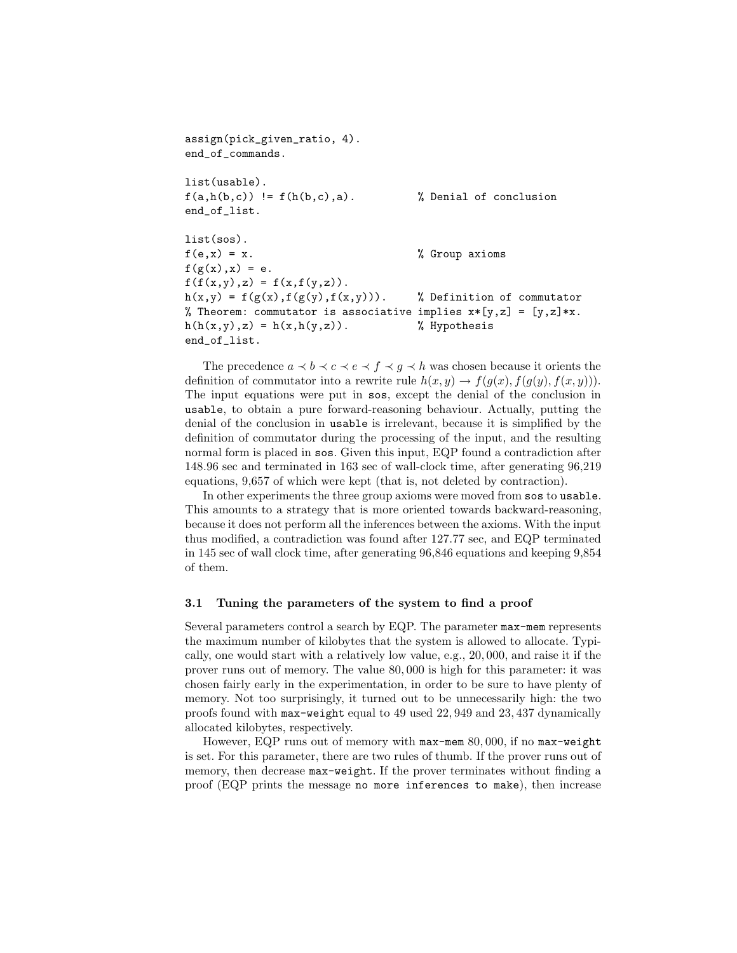```
assign(pick_given_ratio, 4).
end_of_commands.
list(usable).
f(a,h(b,c)) != f(h(b,c),a). % Denial of conclusion
end_of_list.
list(sos).
f(e,x) = x. \% Group axioms
f(g(x),x) = e.f(f(x,y),z) = f(x,f(y,z)).h(x,y) = f(g(x), f(g(y), f(x,y))). % Definition of commutator
% Theorem: commutator is associative implies x*[y,z] = [y,z]*x.
h(h(x,y),z) = h(x,h(y,z)). % Hypothesis
end_of_list.
```
The precedence  $a \prec b \prec c \prec e \prec f \prec g \prec h$  was chosen because it orients the definition of commutator into a rewrite rule  $h(x, y) \rightarrow f(g(x), f(g(y), f(x, y)))$ . The input equations were put in sos, except the denial of the conclusion in usable, to obtain a pure forward-reasoning behaviour. Actually, putting the denial of the conclusion in usable is irrelevant, because it is simplified by the definition of commutator during the processing of the input, and the resulting normal form is placed in sos. Given this input, EQP found a contradiction after 148.96 sec and terminated in 163 sec of wall-clock time, after generating 96,219 equations, 9,657 of which were kept (that is, not deleted by contraction).

In other experiments the three group axioms were moved from sos to usable. This amounts to a strategy that is more oriented towards backward-reasoning, because it does not perform all the inferences between the axioms. With the input thus modified, a contradiction was found after 127.77 sec, and EQP terminated in 145 sec of wall clock time, after generating 96,846 equations and keeping 9,854 of them.

#### 3.1 Tuning the parameters of the system to find a proof

Several parameters control a search by EQP. The parameter max-mem represents the maximum number of kilobytes that the system is allowed to allocate. Typically, one would start with a relatively low value, e.g., 20, 000, and raise it if the prover runs out of memory. The value 80, 000 is high for this parameter: it was chosen fairly early in the experimentation, in order to be sure to have plenty of memory. Not too surprisingly, it turned out to be unnecessarily high: the two proofs found with max-weight equal to 49 used 22, 949 and 23, 437 dynamically allocated kilobytes, respectively.

However, EQP runs out of memory with max-mem 80, 000, if no max-weight is set. For this parameter, there are two rules of thumb. If the prover runs out of memory, then decrease max-weight. If the prover terminates without finding a proof (EQP prints the message no more inferences to make), then increase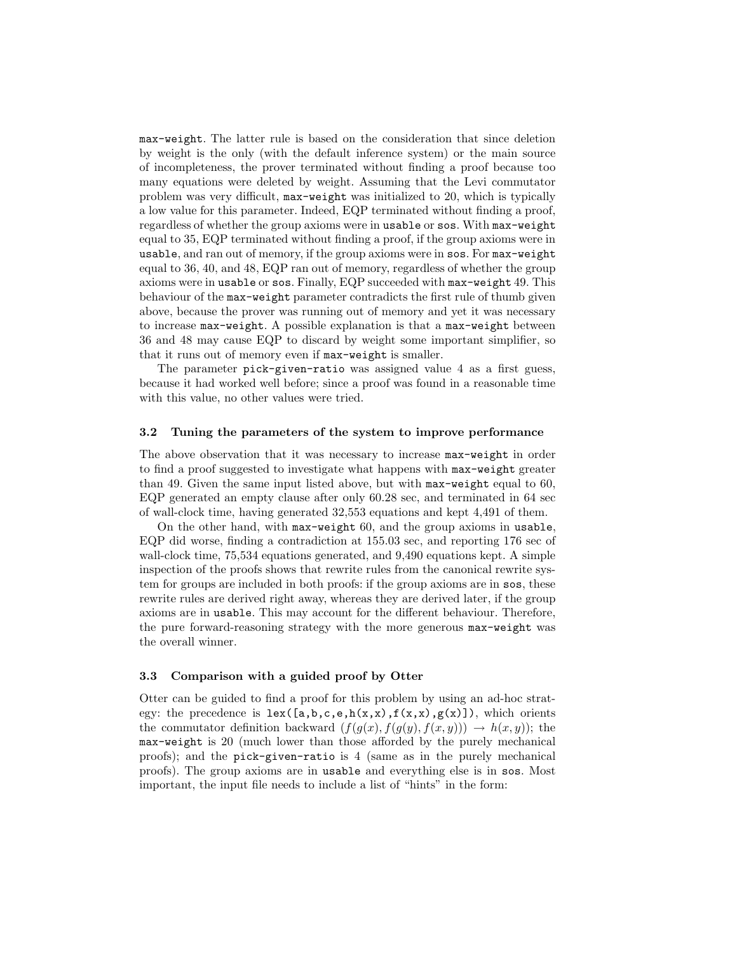max-weight. The latter rule is based on the consideration that since deletion by weight is the only (with the default inference system) or the main source of incompleteness, the prover terminated without finding a proof because too many equations were deleted by weight. Assuming that the Levi commutator problem was very difficult, max-weight was initialized to 20, which is typically a low value for this parameter. Indeed, EQP terminated without finding a proof, regardless of whether the group axioms were in usable or sos. With max-weight equal to 35, EQP terminated without finding a proof, if the group axioms were in usable, and ran out of memory, if the group axioms were in sos. For max-weight equal to 36, 40, and 48, EQP ran out of memory, regardless of whether the group axioms were in usable or sos. Finally, EQP succeeded with max-weight 49. This behaviour of the max-weight parameter contradicts the first rule of thumb given above, because the prover was running out of memory and yet it was necessary to increase max-weight. A possible explanation is that a max-weight between 36 and 48 may cause EQP to discard by weight some important simplifier, so that it runs out of memory even if max-weight is smaller.

The parameter pick-given-ratio was assigned value 4 as a first guess, because it had worked well before; since a proof was found in a reasonable time with this value, no other values were tried.

#### 3.2 Tuning the parameters of the system to improve performance

The above observation that it was necessary to increase max-weight in order to find a proof suggested to investigate what happens with max-weight greater than 49. Given the same input listed above, but with max-weight equal to 60, EQP generated an empty clause after only 60.28 sec, and terminated in 64 sec of wall-clock time, having generated 32,553 equations and kept 4,491 of them.

On the other hand, with max-weight 60, and the group axioms in usable, EQP did worse, finding a contradiction at 155.03 sec, and reporting 176 sec of wall-clock time, 75,534 equations generated, and 9,490 equations kept. A simple inspection of the proofs shows that rewrite rules from the canonical rewrite system for groups are included in both proofs: if the group axioms are in sos, these rewrite rules are derived right away, whereas they are derived later, if the group axioms are in usable. This may account for the different behaviour. Therefore, the pure forward-reasoning strategy with the more generous max-weight was the overall winner.

#### 3.3 Comparison with a guided proof by Otter

Otter can be guided to find a proof for this problem by using an ad-hoc strategy: the precedence is  $lex([a,b,c,e,h(x,x),f(x,x),g(x)])$ , which orients the commutator definition backward  $(f(g(x), f(g(y), f(x, y))) \rightarrow h(x, y))$ ; the max-weight is 20 (much lower than those afforded by the purely mechanical proofs); and the pick-given-ratio is 4 (same as in the purely mechanical proofs). The group axioms are in usable and everything else is in sos. Most important, the input file needs to include a list of "hints" in the form: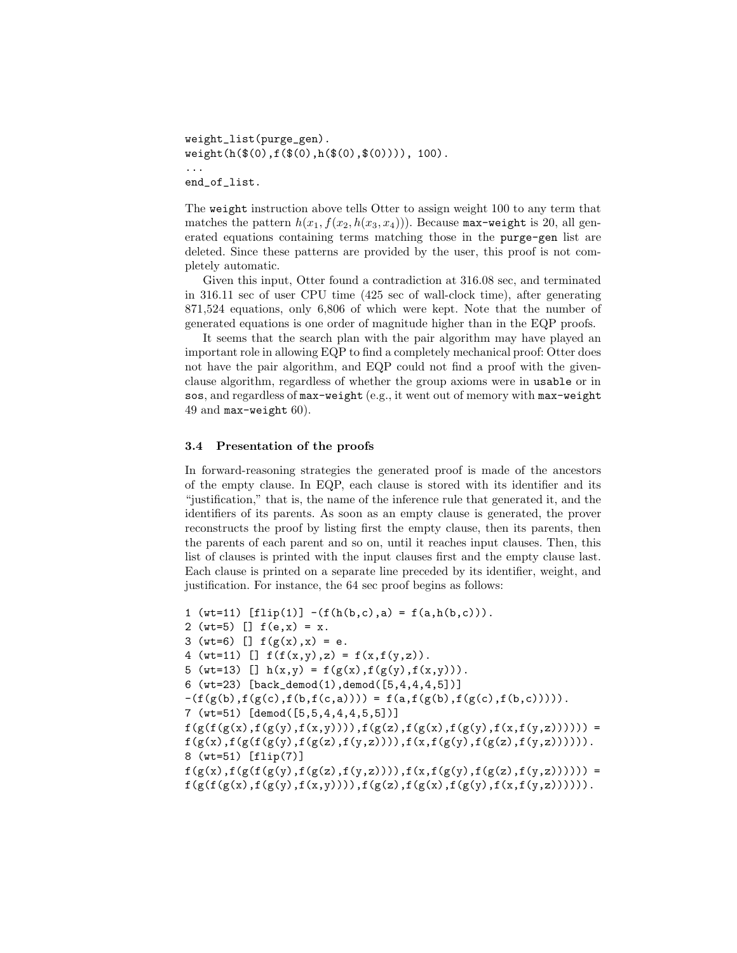```
weight_list(purge_gen).
weight(h(\$(0),f(\$(0),h(\$(0),\$(0)))), 100).
...
end_of_list.
```
The weight instruction above tells Otter to assign weight 100 to any term that matches the pattern  $h(x_1, f(x_2, h(x_3, x_4)))$ . Because max-weight is 20, all generated equations containing terms matching those in the purge-gen list are deleted. Since these patterns are provided by the user, this proof is not completely automatic.

Given this input, Otter found a contradiction at 316.08 sec, and terminated in 316.11 sec of user CPU time (425 sec of wall-clock time), after generating 871,524 equations, only 6,806 of which were kept. Note that the number of generated equations is one order of magnitude higher than in the EQP proofs.

It seems that the search plan with the pair algorithm may have played an important role in allowing EQP to find a completely mechanical proof: Otter does not have the pair algorithm, and EQP could not find a proof with the givenclause algorithm, regardless of whether the group axioms were in usable or in sos, and regardless of max-weight (e.g., it went out of memory with max-weight 49 and max-weight 60).

#### 3.4 Presentation of the proofs

In forward-reasoning strategies the generated proof is made of the ancestors of the empty clause. In EQP, each clause is stored with its identifier and its "justification," that is, the name of the inference rule that generated it, and the identifiers of its parents. As soon as an empty clause is generated, the prover reconstructs the proof by listing first the empty clause, then its parents, then the parents of each parent and so on, until it reaches input clauses. Then, this list of clauses is printed with the input clauses first and the empty clause last. Each clause is printed on a separate line preceded by its identifier, weight, and justification. For instance, the 64 sec proof begins as follows:

```
1 (wt=11) [f\ln(1)] - (f(h(b, c), a) = f(a, h(b, c))).
2 (wt=5) [] f(e,x) = x.
3 (wt=6) [] f(g(x),x) = e.
4 (wt=11) [] f(f(x,y),z) = f(x,f(y,z)).
5 (wt=13) [] h(x,y) = f(g(x), f(g(y), f(x,y))).
6 (wt=23) [back_demod(1),demod([5,4,4,4,5])]
-f(f(g(b),f(g(c),f(b,f(c,a)))) = f(a,f(g(b),f(g(c),f(b,c)))).
7 (wt=51) [demod([5,5,4,4,4,5,5])]
f(g(f(g(x), f(g(y), f(x,y)))),f(g(z), f(g(x), f(g(y), f(x,f(y,z))))) =
f(g(x),f(g(f(g(y),f(g(z),f(y,z)))),f(x,f(g(y),f(g(z),f(y,z))))).
8 (wt=51) [flip(7)]
f(g(x),f(g(f(g(y),f(g(z),f(y,z)))),f(x,f(g(y),f(g(z),f(y,z))))) =
f(g(f(g(x), f(g(y), f(x,y)))),f(g(z), f(g(x), f(g(y), f(x,f(y,z)))).
```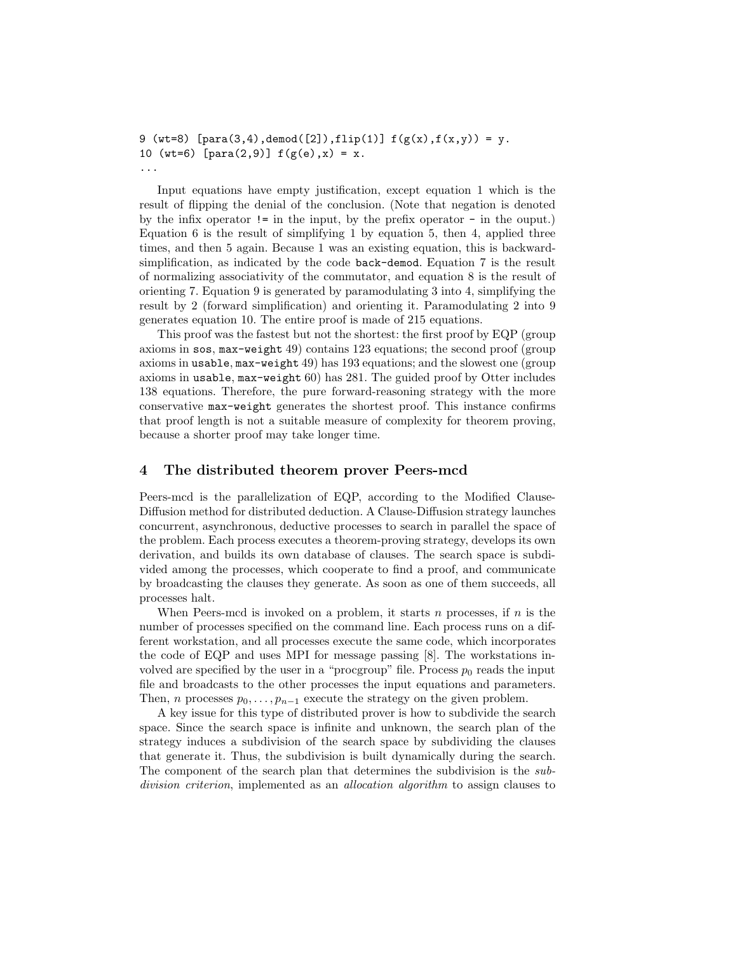```
9 (wt=8) [para(3,4), demand([2]), flip(1)] f(g(x), f(x,y)) = y.10 (wt=6) [para(2,9)] f(g(e),x) = x....
```
Input equations have empty justification, except equation 1 which is the result of flipping the denial of the conclusion. (Note that negation is denoted by the infix operator != in the input, by the prefix operator - in the ouput.) Equation 6 is the result of simplifying 1 by equation 5, then 4, applied three times, and then 5 again. Because 1 was an existing equation, this is backwardsimplification, as indicated by the code back-demod. Equation 7 is the result of normalizing associativity of the commutator, and equation 8 is the result of orienting 7. Equation 9 is generated by paramodulating 3 into 4, simplifying the result by 2 (forward simplification) and orienting it. Paramodulating 2 into 9 generates equation 10. The entire proof is made of 215 equations.

This proof was the fastest but not the shortest: the first proof by EQP (group axioms in sos, max-weight 49) contains 123 equations; the second proof (group axioms in usable, max-weight 49) has 193 equations; and the slowest one (group axioms in usable, max-weight 60) has 281. The guided proof by Otter includes 138 equations. Therefore, the pure forward-reasoning strategy with the more conservative max-weight generates the shortest proof. This instance confirms that proof length is not a suitable measure of complexity for theorem proving, because a shorter proof may take longer time.

# 4 The distributed theorem prover Peers-mcd

Peers-mcd is the parallelization of EQP, according to the Modified Clause-Diffusion method for distributed deduction. A Clause-Diffusion strategy launches concurrent, asynchronous, deductive processes to search in parallel the space of the problem. Each process executes a theorem-proving strategy, develops its own derivation, and builds its own database of clauses. The search space is subdivided among the processes, which cooperate to find a proof, and communicate by broadcasting the clauses they generate. As soon as one of them succeeds, all processes halt.

When Peers-mcd is invoked on a problem, it starts n processes, if n is the number of processes specified on the command line. Each process runs on a different workstation, and all processes execute the same code, which incorporates the code of EQP and uses MPI for message passing [8]. The workstations involved are specified by the user in a "procgroup" file. Process  $p_0$  reads the input file and broadcasts to the other processes the input equations and parameters. Then, *n* processes  $p_0, \ldots, p_{n-1}$  execute the strategy on the given problem.

A key issue for this type of distributed prover is how to subdivide the search space. Since the search space is infinite and unknown, the search plan of the strategy induces a subdivision of the search space by subdividing the clauses that generate it. Thus, the subdivision is built dynamically during the search. The component of the search plan that determines the subdivision is the subdivision criterion, implemented as an *allocation algorithm* to assign clauses to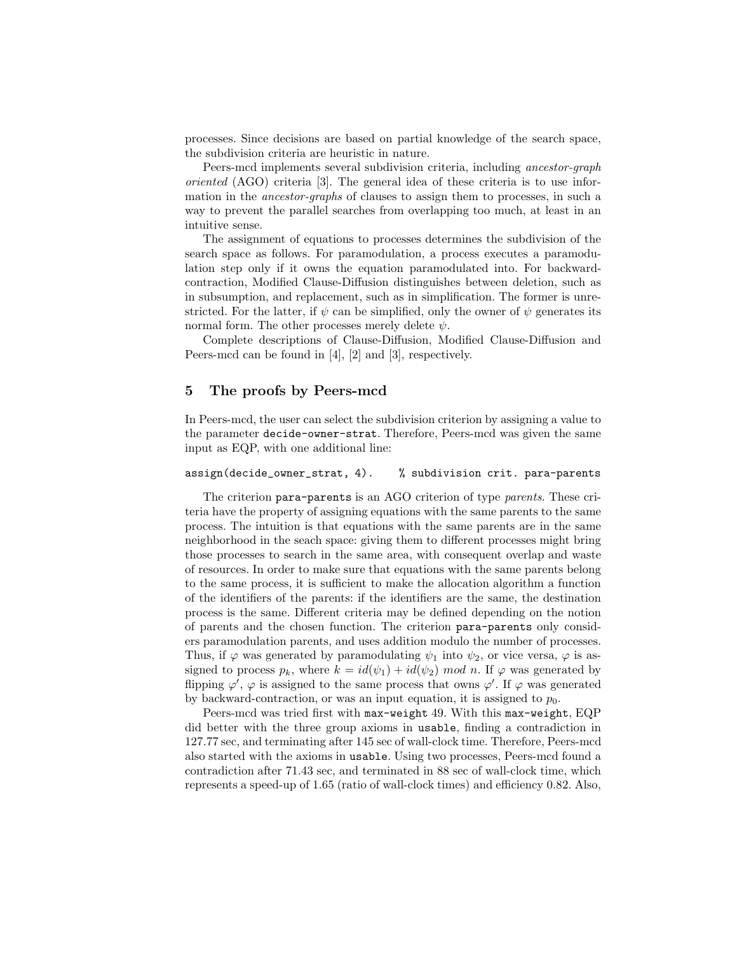processes. Since decisions are based on partial knowledge of the search space, the subdivision criteria are heuristic in nature.

Peers-mcd implements several subdivision criteria, including ancestor-graph oriented (AGO) criteria [3]. The general idea of these criteria is to use information in the ancestor-graphs of clauses to assign them to processes, in such a way to prevent the parallel searches from overlapping too much, at least in an intuitive sense.

The assignment of equations to processes determines the subdivision of the search space as follows. For paramodulation, a process executes a paramodulation step only if it owns the equation paramodulated into. For backwardcontraction, Modified Clause-Diffusion distinguishes between deletion, such as in subsumption, and replacement, such as in simplification. The former is unrestricted. For the latter, if  $\psi$  can be simplified, only the owner of  $\psi$  generates its normal form. The other processes merely delete  $\psi$ .

Complete descriptions of Clause-Diffusion, Modified Clause-Diffusion and Peers-mcd can be found in [4], [2] and [3], respectively.

# 5 The proofs by Peers-mcd

In Peers-mcd, the user can select the subdivision criterion by assigning a value to the parameter decide-owner-strat. Therefore, Peers-mcd was given the same input as EQP, with one additional line:

#### assign(decide\_owner\_strat, 4). % subdivision crit. para-parents

The criterion para-parents is an AGO criterion of type parents. These criteria have the property of assigning equations with the same parents to the same process. The intuition is that equations with the same parents are in the same neighborhood in the seach space: giving them to different processes might bring those processes to search in the same area, with consequent overlap and waste of resources. In order to make sure that equations with the same parents belong to the same process, it is sufficient to make the allocation algorithm a function of the identifiers of the parents: if the identifiers are the same, the destination process is the same. Different criteria may be defined depending on the notion of parents and the chosen function. The criterion para-parents only considers paramodulation parents, and uses addition modulo the number of processes. Thus, if  $\varphi$  was generated by paramodulating  $\psi_1$  into  $\psi_2$ , or vice versa,  $\varphi$  is assigned to process  $p_k$ , where  $k = id(\psi_1) + id(\psi_2) \mod n$ . If  $\varphi$  was generated by flipping  $\varphi'$ ,  $\varphi$  is assigned to the same process that owns  $\varphi'$ . If  $\varphi$  was generated by backward-contraction, or was an input equation, it is assigned to  $p_0$ .

Peers-mcd was tried first with max-weight 49. With this max-weight, EQP did better with the three group axioms in usable, finding a contradiction in 127.77 sec, and terminating after 145 sec of wall-clock time. Therefore, Peers-mcd also started with the axioms in usable. Using two processes, Peers-mcd found a contradiction after 71.43 sec, and terminated in 88 sec of wall-clock time, which represents a speed-up of 1.65 (ratio of wall-clock times) and efficiency 0.82. Also,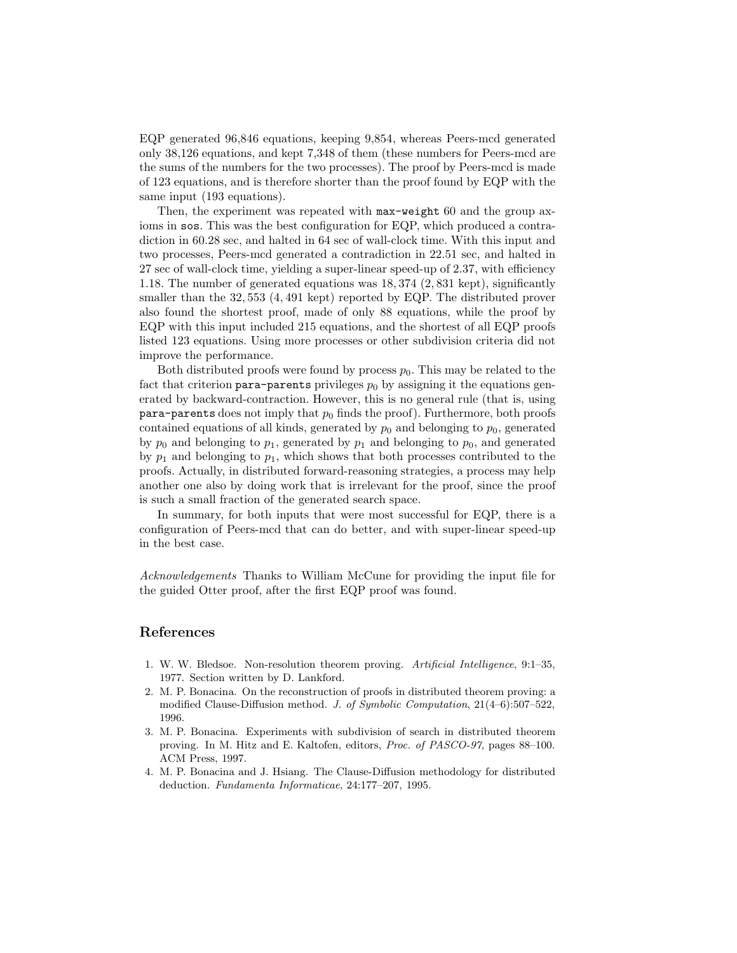EQP generated 96,846 equations, keeping 9,854, whereas Peers-mcd generated only 38,126 equations, and kept 7,348 of them (these numbers for Peers-mcd are the sums of the numbers for the two processes). The proof by Peers-mcd is made of 123 equations, and is therefore shorter than the proof found by EQP with the same input (193 equations).

Then, the experiment was repeated with  $max-weight{60}$  and the group axioms in sos. This was the best configuration for EQP, which produced a contradiction in 60.28 sec, and halted in 64 sec of wall-clock time. With this input and two processes, Peers-mcd generated a contradiction in 22.51 sec, and halted in 27 sec of wall-clock time, yielding a super-linear speed-up of 2.37, with efficiency 1.18. The number of generated equations was 18, 374 (2, 831 kept), significantly smaller than the 32,553 (4,491 kept) reported by EQP. The distributed prover also found the shortest proof, made of only 88 equations, while the proof by EQP with this input included 215 equations, and the shortest of all EQP proofs listed 123 equations. Using more processes or other subdivision criteria did not improve the performance.

Both distributed proofs were found by process  $p_0$ . This may be related to the fact that criterion para-parents privileges  $p_0$  by assigning it the equations generated by backward-contraction. However, this is no general rule (that is, using  $\texttt{para-parents}$  does not imply that  $p_0$  finds the proof). Furthermore, both proofs contained equations of all kinds, generated by  $p_0$  and belonging to  $p_0$ , generated by  $p_0$  and belonging to  $p_1$ , generated by  $p_1$  and belonging to  $p_0$ , and generated by  $p_1$  and belonging to  $p_1$ , which shows that both processes contributed to the proofs. Actually, in distributed forward-reasoning strategies, a process may help another one also by doing work that is irrelevant for the proof, since the proof is such a small fraction of the generated search space.

In summary, for both inputs that were most successful for EQP, there is a configuration of Peers-mcd that can do better, and with super-linear speed-up in the best case.

Acknowledgements Thanks to William McCune for providing the input file for the guided Otter proof, after the first EQP proof was found.

### References

- 1. W. W. Bledsoe. Non-resolution theorem proving. *Artificial Intelligence*, 9:1–35, 1977. Section written by D. Lankford.
- 2. M. P. Bonacina. On the reconstruction of proofs in distributed theorem proving: a modified Clause-Diffusion method. *J. of Symbolic Computation*, 21(4–6):507–522, 1996.
- 3. M. P. Bonacina. Experiments with subdivision of search in distributed theorem proving. In M. Hitz and E. Kaltofen, editors, *Proc. of PASCO-97*, pages 88–100. ACM Press, 1997.
- 4. M. P. Bonacina and J. Hsiang. The Clause-Diffusion methodology for distributed deduction. *Fundamenta Informaticae*, 24:177–207, 1995.